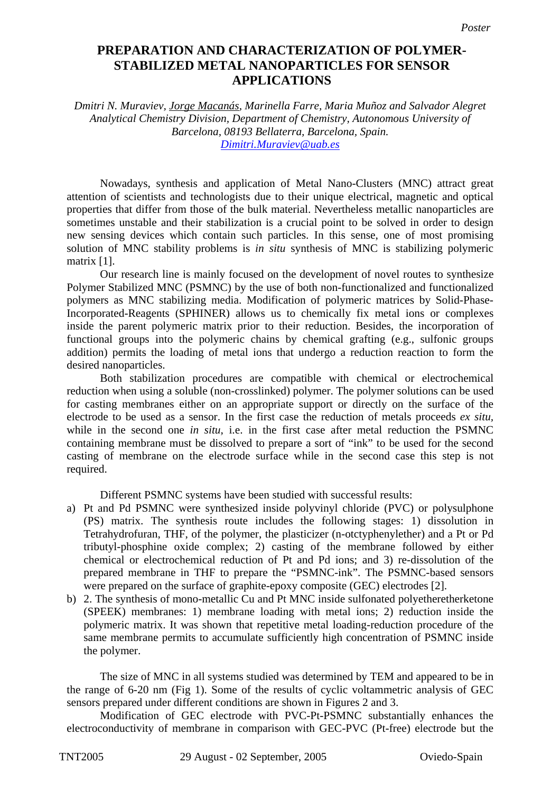## **Preparation and characterization of polymer-stabilized metal nanoparticles PREPARATION AND CHARACTERIZATION OF POLYMER***f***TABILIZED METAL NANOPARTICLES FOR SENSOR APPLICATIONS**

*Dmitri N. Muraviev, Jorge Macanás, Marinella Farre, Maria Muñoz and Salvador Alegret Analytical Chemistry Division, Department of Chemistry, Autonomous University of Barcelona, 08193 Bellaterra, Barcelona, Spain. Dimitri.Muraviev@uab.es*

Nowadays, synthesis and application of Metal Nano-Clusters (MNC) attract great attention of scientists and technologists due to their unique electrical, magnetic and optical properties that differ from those of the bulk material. Nevertheless metallic nanoparticles are sometimes unstable and their stabilization is a crucial point to be solved in order to design new sensing devices which contain such particles. In this sense, one of most promising solution of MNC stability problems is *in situ* synthesis of MNC is stabilizing polymeric matrix [1].

Our research line is mainly focused on the development of novel routes to synthesize Polymer Stabilized MNC (PSMNC) by the use of both non-functionalized and functionalized polymers as MNC stabilizing media. Modification of polymeric matrices by Solid-Phase-Incorporated-Reagents (SPHINER) allows us to chemically fix metal ions or complexes inside the parent polymeric matrix prior to their reduction. Besides, the incorporation of functional groups into the polymeric chains by chemical grafting (e.g., sulfonic groups addition) permits the loading of metal ions that undergo a reduction reaction to form the desired nanoparticles.

Both stabilization procedures are compatible with chemical or electrochemical reduction when using a soluble (non-crosslinked) polymer. The polymer solutions can be used for casting membranes either on an appropriate support or directly on the surface of the electrode to be used as a sensor. In the first case the reduction of metals proceeds *ex situ,* while in the second one *in situ*, i.e. in the first case after metal reduction the PSMNC containing membrane must be dissolved to prepare a sort of "ink" to be used for the second casting of membrane on the electrode surface while in the second case this step is not required.

Different PSMNC systems have been studied with successful results:

- a) Pt and Pd PSMNC were synthesized inside polyvinyl chloride (PVC) or polysulphone (PS) matrix. The synthesis route includes the following stages: 1) dissolution in Tetrahydrofuran, THF, of the polymer, the plasticizer (n-otctyphenylether) and a Pt or Pd tributyl-phosphine oxide complex; 2) casting of the membrane followed by either chemical or electrochemical reduction of Pt and Pd ions; and 3) re-dissolution of the prepared membrane in THF to prepare the "PSMNC-ink". The PSMNC-based sensors were prepared on the surface of graphite-epoxy composite (GEC) electrodes [2].
- b) 2. The synthesis of mono-metallic Cu and Pt MNC inside sulfonated polyetheretherketone (SPEEK) membranes: 1) membrane loading with metal ions; 2) reduction inside the polymeric matrix. It was shown that repetitive metal loading-reduction procedure of the same membrane permits to accumulate sufficiently high concentration of PSMNC inside the polymer.

The size of MNC in all systems studied was determined by TEM and appeared to be in the range of 6-20 nm (Fig 1). Some of the results of cyclic voltammetric analysis of GEC sensors prepared under different conditions are shown in Figures 2 and 3.

Modification of GEC electrode with PVC-Pt-PSMNC substantially enhances the electroconductivity of membrane in comparison with GEC-PVC (Pt-free) electrode but the